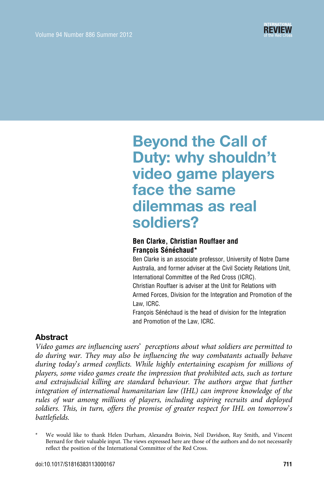# Beyond the Call of Duty: why shouldn*'*t video game players face the same dilemmas as real soldiers?

### Ben Clarke, Christian Rouffaer and Francois Sénéchaud\*

Ben Clarke is an associate professor, University of Notre Dame Australia, and former adviser at the Civil Society Relations Unit, International Committee of the Red Cross (ICRC). Christian Rouffaer is adviser at the Unit for Relations with Armed Forces, Division for the Integration and Promotion of the Law, ICRC.

Francois Sénéchaud is the head of division for the Integration and Promotion of the Law, ICRC.

## **Abstract**

Video games are influencing users' perceptions about what soldiers are permitted to do during war. They may also be influencing the way combatants actually behave during today's armed conflicts. While highly entertaining escapism for millions of players, some video games create the impression that prohibited acts, such as torture and extrajudicial killing are standard behaviour. The authors argue that further integration of international humanitarian law (IHL) can improve knowledge of the rules of war among millions of players, including aspiring recruits and deployed soldiers. This, in turn, offers the promise of greater respect for IHL on tomorrow's battlefields.

We would like to thank Helen Durham, Alexandra Boivin, Neil Davidson, Ray Smith, and Vincent Bernard for their valuable input. The views expressed here are those of the authors and do not necessarily reflect the position of the International Committee of the Red Cross.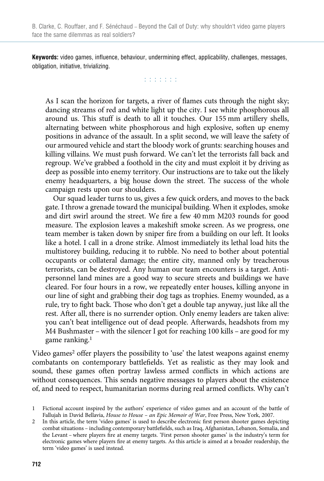Keywords: video games, influence, behaviour, undermining effect, applicability, challenges, messages, obligation, initiative, trivializing.

**Editoria** 

As I scan the horizon for targets, a river of flames cuts through the night sky; dancing streams of red and white light up the city. I see white phosphorous all around us. This stuff is death to all it touches. Our 155 mm artillery shells, alternating between white phosphorous and high explosive, soften up enemy positions in advance of the assault. In a split second, we will leave the safety of our armoured vehicle and start the bloody work of grunts: searching houses and killing villains. We must push forward. We can't let the terrorists fall back and regroup. We've grabbed a foothold in the city and must exploit it by driving as deep as possible into enemy territory. Our instructions are to take out the likely enemy headquarters, a big house down the street. The success of the whole campaign rests upon our shoulders.

Our squad leader turns to us, gives a few quick orders, and moves to the back gate. I throw a grenade toward the municipal building. When it explodes, smoke and dirt swirl around the street. We fire a few 40 mm M203 rounds for good measure. The explosion leaves a makeshift smoke screen. As we progress, one team member is taken down by sniper fire from a building on our left. It looks like a hotel. I call in a drone strike. Almost immediately its lethal load hits the multistorey building, reducing it to rubble. No need to bother about potential occupants or collateral damage; the entire city, manned only by treacherous terrorists, can be destroyed. Any human our team encounters is a target. Antipersonnel land mines are a good way to secure streets and buildings we have cleared. For four hours in a row, we repeatedly enter houses, killing anyone in our line of sight and grabbing their dog tags as trophies. Enemy wounded, as a rule, try to fight back. Those who don't get a double tap anyway, just like all the rest. After all, there is no surrender option. Only enemy leaders are taken alive: you can't beat intelligence out of dead people. Afterwards, headshots from my M4 Bushmaster – with the silencer I got for reaching 100 kills – are good for my game ranking.1

Video games<sup>2</sup> offer players the possibility to 'use' the latest weapons against enemy combatants on contemporary battlefields. Yet as realistic as they may look and sound, these games often portray lawless armed conflicts in which actions are without consequences. This sends negative messages to players about the existence of, and need to respect, humanitarian norms during real armed conflicts. Why can't

<sup>1</sup> Fictional account inspired by the authors' experience of video games and an account of the battle of Fallujah in David Bellavia, House to House – an Epic Memoir of War, Free Press, New York, 2007.

<sup>2</sup> In this article, the term 'video games' is used to describe electronic first person shooter games depicting combat situations – including contemporary battlefields, such as Iraq, Afghanistan, Lebanon, Somalia, and the Levant – where players fire at enemy targets. 'First person shooter games' is the industry's term for electronic games where players fire at enemy targets. As this article is aimed at a broader readership, the term 'video games' is used instead.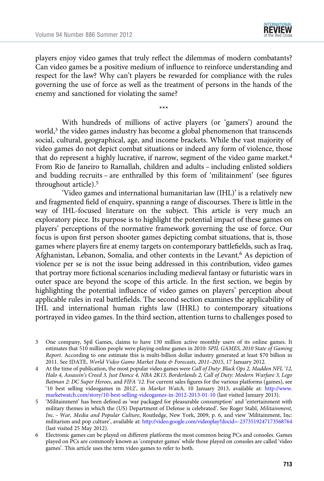players enjoy video games that truly reflect the dilemmas of modern combatants? Can video games be a positive medium of influence to reinforce understanding and respect for the law? Why can't players be rewarded for compliance with the rules governing the use of force as well as the treatment of persons in the hands of the enemy and sanctioned for violating the same?

\*\*\*

With hundreds of millions of active players (or 'gamers') around the world,<sup>3</sup> the video games industry has become a global phenomenon that transcends social, cultural, geographical, age, and income brackets. While the vast majority of video games do not depict combat situations or indeed any form of violence, those that do represent a highly lucrative, if narrow, segment of the video game market.<sup>4</sup> From Rio de Janeiro to Ramallah, children and adults – including enlisted soldiers and budding recruits – are enthralled by this form of 'militainment' (see figures throughout article).<sup>5</sup>

'Video games and international humanitarian law (IHL)' is a relatively new and fragmented field of enquiry, spanning a range of discourses. There is little in the way of IHL-focused literature on the subject. This article is very much an exploratory piece. Its purpose is to highlight the potential impact of these games on players' perceptions of the normative framework governing the use of force. Our focus is upon first person shooter games depicting combat situations, that is, those games where players fire at enemy targets on contemporary battlefields, such as Iraq, Afghanistan, Lebanon, Somalia, and other contexts in the Levant.6 As depiction of violence per se is not the issue being addressed in this contribution, video games that portray more fictional scenarios including medieval fantasy or futuristic wars in outer space are beyond the scope of this article. In the first section, we begin by highlighting the potential influence of video games on players' perception about applicable rules in real battlefields. The second section examines the applicability of IHL and international human rights law (IHRL) to contemporary situations portrayed in video games. In the third section, attention turns to challenges posed to

- 3 One company, Spil Games, claims to have 130 million active monthly users of its online games. It estimates that 510 million people were playing online games in 2010: SPIL GAMES, 2010 State of Gaming Report. According to one estimate this is multi-billion dollar industry generated at least \$70 billion in 2011. See IDATE, World Video Game Market Data & Forecasts, 2011–2015, 17 January 2012.
- 4 At the time of publication, the most popular video games were Call of Duty: Black Ops 2, Madden NFL '12, Halo 4, Assassin's Creed 3, Just Dance 4, NBA 2K13, Borderlands 2, Call of Duty: Modern Warfare 3, Lego Batman 2: DC Super Heroes, and FIFA '12. For current sales figures for the various platforms (games), see '10 best selling videogames in 2012', in Market Watch, 10 January 2013, available at: [http://www.](http://www.marketwatch.com/story/10-best-selling-videogames-in-2012-2013-01-10) [marketwatch.com/story/10-best-selling-videogames-in-2012-2013-01-10](http://www.marketwatch.com/story/10-best-selling-videogames-in-2012-2013-01-10) (last visited January 2013).
- 5 'Militainment' has been defined as 'war packaged for pleasurable consumption' and 'entertainment with military themes in which the (US) Department of Defense is celebrated'. See Roger Stahl, Militainment, Inc. – War, Media and Popular Culture, Routledge, New York, 2009, p. 6, and view 'Militainment, Inc: militarism and pop culture', available at: <http://video.google.com/videoplay?docid=-2373519247173568764> (last visited 25 May 2012).
- 6 Electronic games can be played on different platforms the most common being PCs and consoles. Games played on PCs are commonly known as 'computer games' while those played on consoles are called 'video games'. This article uses the term video games to refer to both.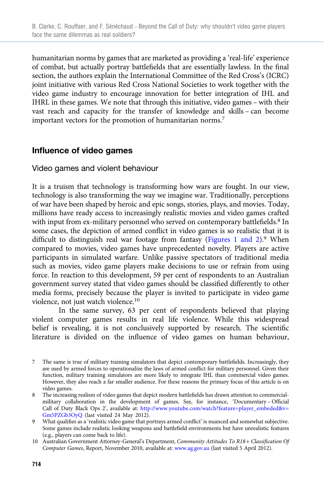humanitarian norms by games that are marketed as providing a 'real-life' experience of combat, but actually portray battlefields that are essentially lawless. In the final section, the authors explain the International Committee of the Red Cross's (ICRC) joint initiative with various Red Cross National Societies to work together with the video game industry to encourage innovation for better integration of IHL and IHRL in these games. We note that through this initiative, video games – with their vast reach and capacity for the transfer of knowledge and skills – can become important vectors for the promotion of humanitarian norms.7

## Influence of video games

Video games and violent behaviour

It is a truism that technology is transforming how wars are fought. In our view, technology is also transforming the way we imagine war. Traditionally, perceptions of war have been shaped by heroic and epic songs, stories, plays, and movies. Today, millions have ready access to increasingly realistic movies and video games crafted with input from ex-military personnel who served on contemporary battlefields.<sup>8</sup> In some cases, the depiction of armed conflict in video games is so realistic that it is difficult to distinguish real war footage from fantasy ([Figures 1 and 2](#page-4-0)).<sup>9</sup> When compared to movies, video games have unprecedented novelty. Players are active participants in simulated warfare. Unlike passive spectators of traditional media such as movies, video game players make decisions to use or refrain from using force. In reaction to this development, 59 per cent of respondents to an Australian government survey stated that video games should be classified differently to other media forms, precisely because the player is invited to participate in video game violence, not just watch violence.10

In the same survey, 63 per cent of respondents believed that playing violent computer games results in real life violence. While this widespread belief is revealing, it is not conclusively supported by research. The scientific literature is divided on the influence of video games on human behaviour,

<sup>7</sup> The same is true of military training simulators that depict contemporary battlefields. Increasingly, they are used by armed forces to operationalize the laws of armed conflict for military personnel. Given their function, military training simulators are more likely to integrate IHL than commercial video games. However, they also reach a far smaller audience. For these reasons the primary focus of this article is on video games.

<sup>8</sup> The increasing realism of video games that depict modern battlefields has drawn attention to commercialmilitary collaboration in the development of games. See, for instance, 'Documentary – Official Call of Duty Black Ops 2', available at: [http://www.youtube.com/watch?feature=player\\_embeded&v=](http://www.youtube.com/watch?feature=player_embeded&v=Gm5PZGb3OyQ) [Gm5PZGb3OyQ](http://www.youtube.com/watch?feature=player_embeded&v=Gm5PZGb3OyQ) (last visited 24 May 2012).

<sup>9</sup> What qualifies as a 'realistic video game that portrays armed conflict' is nuanced and somewhat subjective. Some games include realistic looking weapons and battlefield environments but have unrealistic features (e.g., players can come back to life).

<sup>10</sup> Australian Government Attorney-General's Department, Community Attitudes To R18 + Classification Of Computer Games, Report, November 2010, available at: [www.ag.gov.au](http://www.ag.gov.au) (last visited 5 April 2012).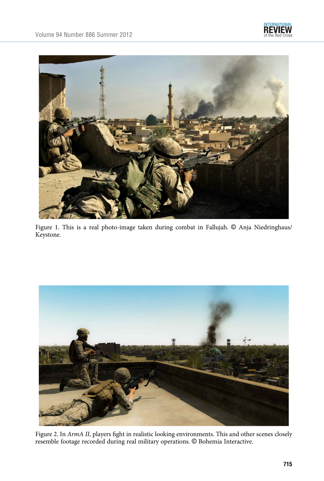

<span id="page-4-0"></span>

Figure 1. This is a real photo-image taken during combat in Fallujah. © Anja Niedringhaus/ Keystone.



Figure 2. In ArmA II, players fight in realistic looking environments. This and other scenes closely resemble footage recorded during real military operations. © Bohemia Interactive.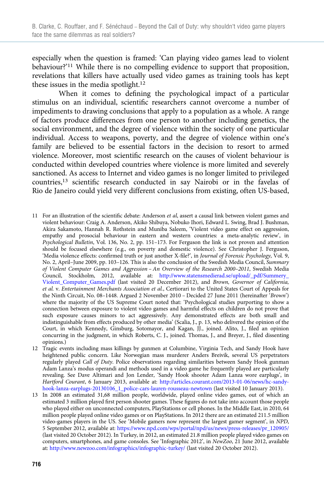especially when the question is framed: 'Can playing video games lead to violent behaviour?'<sup>11</sup> While there is no compelling evidence to support that proposition, revelations that killers have actually used video games as training tools has kept these issues in the media spotlight.<sup>12</sup>

When it comes to defining the psychological impact of a particular stimulus on an individual, scientific researchers cannot overcome a number of impediments to drawing conclusions that apply to a population as a whole. A range of factors produce differences from one person to another including genetics, the social environment, and the degree of violence within the society of one particular individual. Access to weapons, poverty, and the degree of violence within one's family are believed to be essential factors in the decision to resort to armed violence. Moreover, most scientific research on the causes of violent behaviour is conducted within developed countries where violence is more limited and severely sanctioned. As access to Internet and video games is no longer limited to privileged countries,13 scientific research conducted in say Nairobi or in the favelas of Rio de Janeiro could yield very different conclusions from existing, often US-based,

11 For an illustration of the scientific debate: Anderson et al, assert a causal link between violent games and violent behaviour: Craig A. Anderson, Akiko Shibuya, Nobuko Ihori, Edward L. Swing, Brad J. Bushman, Akira Sakamoto, Hannah R. Rothstein and Muniba Saleem, 'Violent video game effect on aggression, empathy and prosocial behaviour in eastern and western countries: a meta-analytic review', in Psychological Bulletin, Vol. 136, No. 2, pp. 151–173. For Ferguson the link is not proven and attention should be focused elsewhere (e.g., on poverty and domestic violence). See Christopher J. Ferguson, 'Media violence effects: confirmed truth or just another X-file?', in Journal of Forensic Psychology, Vol. 9, No. 2, April–June 2009, pp. 103–126. This is also the conclusion of the Swedish Media Council, Summary of Violent Computer Games and Aggression – An Overview of the Research 2000–2011, Swedish Media Council, Stockholm, 2012, available at: [http://www.statensmedierad.se/upload/\\_pdf/Summery\\_](http://www.statensmedierad.se/upload/_pdf/Summery_Violent_Computer_Games.pdf) [Violent\\_Computer\\_Games.pdf](http://www.statensmedierad.se/upload/_pdf/Summery_Violent_Computer_Games.pdf) (last visited 20 December 2012), and Brown, Governor of California, et al. v. Entertainment Merchants Association et al., Certiorari to the United States Court of Appeals for the Ninth Circuit, No. 08–1448. Argued 2 November 2010 – Decided 27 June 2011 (hereinafter 'Brown') where the majority of the US Supreme Court noted that: 'Psychological studies purporting to show a connection between exposure to violent video games and harmful effects on children do not prove that such exposure causes minors to act aggressively. Any demonstrated effects are both small and indistinguishable from effects produced by other media' (Scalia, J., p. 13, who delivered the opinion of the Court, in which Kennedy, Ginsburg, Sotomayor, and Kagan, JJ., joined. Alito, J., filed an opinion concurring in the judgment, in which Roberts, C. J., joined. Thomas, J., and Breyer, J., filed dissenting opinions.)

12 Tragic events including mass killings by gunmen at Columbine, Virginia Tech, and Sandy Hook have heightened public concern. Like Norwegian mass murderer Anders Breivik, several US perpetrators regularly played Call of Duty. Police observations regarding similarities between Sandy Hook gunman Adam Lanza's modus operandi and methods used in a video game he frequently played are particularly revealing. See Dave Altimari and Jon Lender, 'Sandy Hook shooter Adam Lanza wore earplugs', in Hartford Courant, 6 January 2013, available at: [http://articles.courant.com/2013-01-06/news/hc-sandy](http://articles.courant.com/2013-01-06/news/hc-sandyhook-lanza-earplugs-20130106_1_police-cars-lauren-rousseau-newtown)[hook-lanza-earplugs-20130106\\_1\\_police-cars-lauren-rousseau-newtown](http://articles.courant.com/2013-01-06/news/hc-sandyhook-lanza-earplugs-20130106_1_police-cars-lauren-rousseau-newtown) (last visited 10 January 2013).

13 In 2008 an estimated 31,68 million people, worldwide, played online video games, out of which an estimated 3 million played first person shooter games. These figures do not take into account those people who played either on unconnected computers, PlayStations or cell phones. In the Middle East, in 2010, 64 million people played online video games or on PlayStations. In 2012 there are an estimated 211.5 million video-games players in the US. See 'Mobile gamers now represent the largest gamer segment', in NPD, 5 September 2012, available at: [https://www.npd.com/wps/portal/npd/us/news/press-releases/pr\\_120905/](https://www.npd.com/wps/portal/npd/us/news/press-releases/pr_120905/) (last visited 20 October 2012). In Turkey, in 2012, an estimated 21.8 million people played video games on computers, smartphones, and game consoles. See 'Infographic 2012', in NewZoo, 21 June 2012, available at: <http://www.newzoo.com/infographics/infographic-turkey/> (last visited 20 October 2012).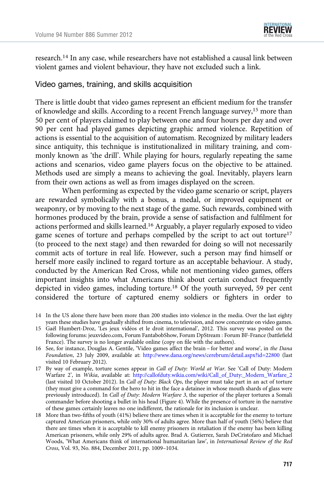

research.<sup>14</sup> In any case, while researchers have not established a causal link between violent games and violent behaviour, they have not excluded such a link.

#### Video games, training, and skills acquisition

There is little doubt that video games represent an efficient medium for the transfer of knowledge and skills. According to a recent French language survey,15 more than 50 per cent of players claimed to play between one and four hours per day and over 90 per cent had played games depicting graphic armed violence. Repetition of actions is essential to the acquisition of automatism. Recognized by military leaders since antiquity, this technique is institutionalized in military training, and commonly known as 'the drill'. While playing for hours, regularly repeating the same actions and scenarios, video game players focus on the objective to be attained. Methods used are simply a means to achieving the goal. Inevitably, players learn from their own actions as well as from images displayed on the screen.

When performing as expected by the video game scenario or script, players are rewarded symbolically with a bonus, a medal, or improved equipment or weaponry, or by moving to the next stage of the game. Such rewards, combined with hormones produced by the brain, provide a sense of satisfaction and fulfilment for actions performed and skills learned.16 Arguably, a player regularly exposed to video game scenes of torture and perhaps compelled by the script to act out torture<sup>17</sup> (to proceed to the next stage) and then rewarded for doing so will not necessarily commit acts of torture in real life. However, such a person may find himself or herself more easily inclined to regard torture as an acceptable behaviour. A study, conducted by the American Red Cross, while not mentioning video games, offers important insights into what Americans think about certain conduct frequently depicted in video games, including torture.<sup>18</sup> Of the youth surveyed, 59 per cent considered the torture of captured enemy soldiers or fighters in order to

- 14 In the US alone there have been more than 200 studies into violence in the media. Over the last eighty years these studies have gradually shifted from cinema, to television, and now concentrate on video games.
- 15 Gaël Humbert-Droz, 'Les jeux vidéos et le droit international', 2012. This survey was posted on the following forums: jeuxvideo.com, Forum FantabobShow, Forum DpStream : Forum BF-France (battlefield France). The survey is no longer available online (copy on file with the authors).
- 16 See, for instance, Douglas A. Gentile, 'Video games affect the brain for better and worse', in the Dana Foundation, 23 July 2009, available at: <http://www.dana.org/news/cerebrum/detail.aspx?id=22800> (last visited 10 February 2012).
- 17 By way of example, torture scenes appear in Call of Duty: World at War. See 'Call of Duty: Modern Warfare 2', in Wikia, available at: [http://callofduty.wikia.com/wiki/Call\\_of\\_Duty:\\_Modern\\_Warfare\\_2](http://callofduty.wikia.com/wiki/Call_of_Duty:_Modern_Warfare_2) (last visited 10 October 2012). In Call of Duty: Black Ops, the player must take part in an act of torture (they must give a command for the hero to hit in the face a detainee in whose mouth shards of glass were previously introduced). In Call of Duty: Modern Warfare 3, the superior of the player tortures a Somali commander before shooting a bullet in his head (Figure 4). While the presence of torture in the narrative of these games certainly leaves no one indifferent, the rationale for its inclusion is unclear.
- 18 More than two-fifths of youth (41%) believe there are times when it is acceptable for the enemy to torture captured American prisoners, while only 30% of adults agree. More than half of youth (56%) believe that there are times when it is acceptable to kill enemy prisoners in retaliation if the enemy has been killing American prisoners, while only 29% of adults agree. Brad A. Gutierrez, Sarah DeCristofaro and Michael Woods, 'What Americans think of international humanitarian law', in International Review of the Red Cross, Vol. 93, No. 884, December 2011, pp. 1009–1034.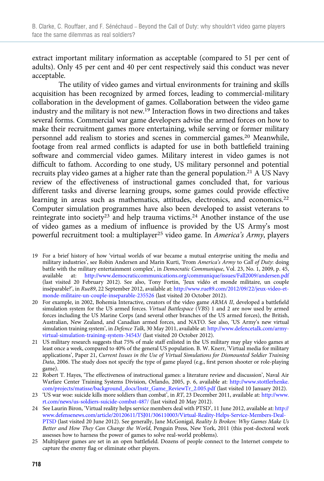extract important military information as acceptable (compared to 51 per cent of adults). Only 45 per cent and 40 per cent respectively said this conduct was never acceptable.

The utility of video games and virtual environments for training and skills acquisition has been recognized by armed forces, leading to commercial-military collaboration in the development of games. Collaboration between the video game industry and the military is not new.19 Interaction flows in two directions and takes several forms. Commercial war game developers advise the armed forces on how to make their recruitment games more entertaining, while serving or former military personnel add realism to stories and scenes in commercial games.<sup>20</sup> Meanwhile, footage from real armed conflicts is adapted for use in both battlefield training software and commercial video games. Military interest in video games is not difficult to fathom. According to one study, US military personnel and potential recruits play video games at a higher rate than the general population.<sup>21</sup> A US Navy review of the effectiveness of instructional games concluded that, for various different tasks and diverse learning groups, some games could provide effective learning in areas such as mathematics, attitudes, electronics, and economics.<sup>22</sup> Computer simulation programmes have also been developed to assist veterans to reintegrate into society<sup>23</sup> and help trauma victims.<sup>24</sup> Another instance of the use of video games as a medium of influence is provided by the US Army's most powerful recruitment tool: a multiplayer<sup>25</sup> video game. In America's Army, players

- 19 For a brief history of how 'virtual worlds of war became a mutual enterprise uniting the media and military industries', see Robin Andersen and Marin Kurti, 'From America's Army to Call of Duty: doing battle with the military entertainment complex', in Democratic Communique, Vol. 23, No. 1, 2009, p. 45, available at: <http://www.democraticcommunications.org/communique/issues/Fall2009/andersen.pdf> (last visited 20 February 2012). See also, Tony Fortin, 'Jeux vidéo et monde militaire, un couple inséparable?', in Rue89, 22 September 2012, available at: [http://www.rue89.com/2012/09/22/jeux-video-et](http://www.rue89.com/2012/09/22/jeux-video-et-monde-militaire-un-couple-inseparable-235526)[monde-militaire-un-couple-inseparable-235526](http://www.rue89.com/2012/09/22/jeux-video-et-monde-militaire-un-couple-inseparable-235526) (last visited 20 October 2012).
- 20 For example, in 2002, Bohemia Interactive, creators of the video game ARMA II, developed a battlefield simulation system for the US armed forces. Virtual Battlespace (VBS) 1 and 2 are now used by armed forces including the US Marine Corps (and several other branches of the US armed forces), the British, Australian, New Zealand, and Canadian armed forces, and NATO. See also, 'US Army's new virtual simulation training system', in Defence Talk, 30 May 2011, available at: [http://www.defencetalk.com/army](http://www.defencetalk.com/army-virtual-simulation-training-system-34543/)[virtual-simulation-training-system-34543/](http://www.defencetalk.com/army-virtual-simulation-training-system-34543/) (last visited 20 October 2012).
- 21 US military research suggests that 75% of male staff enlisted in the US military may play video games at least once a week, compared to 40% of the general US population. B. W. Knerr, 'Virtual media for military applications', Paper 21, Current Issues in the Use of Virtual Simulations for Dismounted Soldier Training Data, 2006. The study does not specify the type of game played (e.g., first person shooter or role-playing game).
- 22 Robert T. Hayes, 'The effectiveness of instructional games: a literature review and discussion', Naval Air Warfare Center Training Systems Division, Orlando, 2005, p. 6, available at: [http://www.stottlerhenke.](http://www.stottlerhenke.com/projects/matisse/background_docs/Instr_Game_ReviewTr_2.005.pdf) [com/projects/matisse/background\\_docs/Instr\\_Game\\_ReviewTr\\_2.005.pdf](http://www.stottlerhenke.com/projects/matisse/background_docs/Instr_Game_ReviewTr_2.005.pdf) (last visited 10 January 2012).
- 23 'US war woe: suicide kills more soldiers than combat', in RT, 23 December 2011, available at: [http://www.](http://www.rt.com/news/us-soldiers-suicide-combat-487/) [rt.com/news/us-soldiers-suicide-combat-487/](http://www.rt.com/news/us-soldiers-suicide-combat-487/) (last visited 20 May 2012).
- 24 See Laurin Biron, 'Virtual reality helps service members deal with PTSD', 11 June 2012, available at: [http://](http://www.defensenews.com/article/20120611/TSJ01/306110003/Virtual-Reality-Helps-Service-Members-Deal-PTSD) [www.defensenews.com/article/20120611/TSJ01/306110003/Virtual-Reality-Helps-Service-Members-Deal-](http://www.defensenews.com/article/20120611/TSJ01/306110003/Virtual-Reality-Helps-Service-Members-Deal-PTSD)[PTSD](http://www.defensenews.com/article/20120611/TSJ01/306110003/Virtual-Reality-Helps-Service-Members-Deal-PTSD) (last visited 20 June 2012). See generally, Jane McGonigal, Reality Is Broken: Why Games Make Us Better and How They Can Change the World, Penguin Press, New York, 2011 (this post-doctoral work assesses how to harness the power of games to solve real-world problems).
- 25 Multiplayer games are set in an open battlefield. Dozens of people connect to the Internet compete to capture the enemy flag or eliminate other players.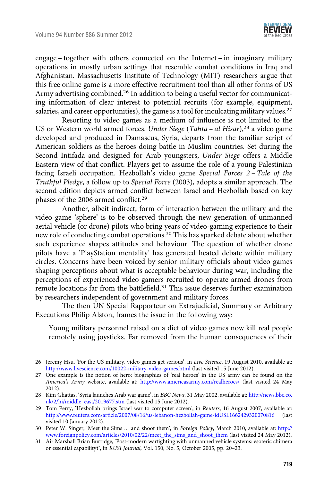engage – together with others connected on the Internet – in imaginary military operations in mostly urban settings that resemble combat conditions in Iraq and Afghanistan. Massachusetts Institute of Technology (MIT) researchers argue that this free online game is a more effective recruitment tool than all other forms of US Army advertising combined.<sup>26</sup> In addition to being a useful vector for communicating information of clear interest to potential recruits (for example, equipment, salaries, and career opportunities), the game is a tool for inculcating military values.<sup>27</sup>

Resorting to video games as a medium of influence is not limited to the US or Western world armed forces. Under Siege (Tahta – al Hisar),<sup>28</sup> a video game developed and produced in Damascus, Syria, departs from the familiar script of American soldiers as the heroes doing battle in Muslim countries. Set during the Second Intifada and designed for Arab youngsters, Under Siege offers a Middle Eastern view of that conflict. Players get to assume the role of a young Palestinian facing Israeli occupation. Hezbollah's video game Special Forces 2 – Tale of the Truthful Pledge, a follow up to Special Force (2003), adopts a similar approach. The second edition depicts armed conflict between Israel and Hezbollah based on key phases of the 2006 armed conflict.<sup>29</sup>

Another, albeit indirect, form of interaction between the military and the video game 'sphere' is to be observed through the new generation of unmanned aerial vehicle (or drone) pilots who bring years of video-gaming experience to their new role of conducting combat operations.30 This has sparked debate about whether such experience shapes attitudes and behaviour. The question of whether drone pilots have a 'PlayStation mentality' has generated heated debate within military circles. Concerns have been voiced by senior military officials about video games shaping perceptions about what is acceptable behaviour during war, including the perceptions of experienced video gamers recruited to operate armed drones from remote locations far from the battlefield.<sup>31</sup> This issue deserves further examination by researchers independent of government and military forces.

The then UN Special Rapporteur on Extrajudicial, Summary or Arbitrary Executions Philip Alston, frames the issue in the following way:

Young military personnel raised on a diet of video games now kill real people remotely using joysticks. Far removed from the human consequences of their

<sup>26</sup> Jeremy Hsu, 'For the US military, video games get serious', in Live Science, 19 August 2010, available at: <http://www.livescience.com/10022-military-video-games.html> (last visited 15 June 2012).

<sup>27</sup> One example is the notion of hero: biographies of 'real heroes' in the US army can be found on the America's Army website, available at: <http://www.americasarmy.com/realheroes/> (last visited 24 May 2012).

<sup>28</sup> Kim Ghattas, 'Syria launches Arab war game', in BBC News, 31 May 2002, available at: [http://news.bbc.co.](http://news.bbc.co.uk/2/hi/middle_east/2019677.stm) [uk/2/hi/middle\\_east/2019677.stm](http://news.bbc.co.uk/2/hi/middle_east/2019677.stm) (last visited 15 June 2012).

<sup>29</sup> Tom Perry, 'Hezbollah brings Israel war to computer screen', in Reuters, 16 August 2007, available at: <http://www.reuters.com/article/2007/08/16/us-lebanon-hezbollah-game-idUSL1662429320070816> (last visited 10 January 2012).

<sup>30</sup> Peter W. Singer, 'Meet the Sims ... and shoot them', in Foreign Policy, March 2010, available at: [http://](http://www.foreignpolicy.com/articles/2010/02/22/meet_the_sims_and_shoot_them) [www.foreignpolicy.com/articles/2010/02/22/meet\\_the\\_sims\\_and\\_shoot\\_them](http://www.foreignpolicy.com/articles/2010/02/22/meet_the_sims_and_shoot_them) (last visited 24 May 2012).

<sup>31</sup> Air Marshall Brian Burridge, 'Post-modern warfighting with unmanned vehicle systems: esoteric chimera or essential capability?', in RUSI Journal, Vol. 150, No. 5, October 2005, pp. 20–23.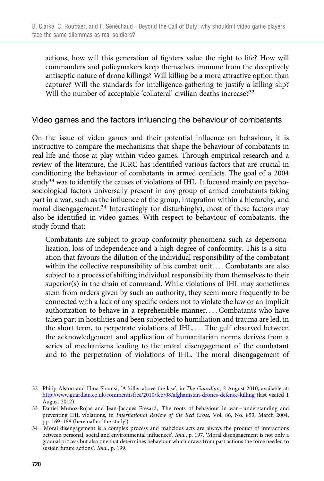actions, how will this generation of fighters value the right to life? How will commanders and policymakers keep themselves immune from the deceptively antiseptic nature of drone killings? Will killing be a more attractive option than capture? Will the standards for intelligence-gathering to justify a killing slip? Will the number of acceptable 'collateral' civilian deaths increase?<sup>32</sup>

### Video games and the factors influencing the behaviour of combatants

On the issue of video games and their potential influence on behaviour, it is instructive to compare the mechanisms that shape the behaviour of combatants in real life and those at play within video games. Through empirical research and a review of the literature, the ICRC has identified various factors that are crucial in conditioning the behaviour of combatants in armed conflicts. The goal of a 2004 study<sup>33</sup> was to identify the causes of violations of IHL. It focused mainly on psychosociological factors universally present in any group of armed combatants taking part in a war, such as the influence of the group, integration within a hierarchy, and moral disengagement.<sup>34</sup> Interestingly (or disturbingly), most of these factors may also be identified in video games. With respect to behaviour of combatants, the study found that:

Combatants are subject to group conformity phenomena such as depersonalization, loss of independence and a high degree of conformity. This is a situation that favours the dilution of the individual responsibility of the combatant within the collective responsibility of his combat unit. ... Combatants are also subject to a process of shifting individual responsibility from themselves to their superior(s) in the chain of command. While violations of IHL may sometimes stem from orders given by such an authority, they seem more frequently to be connected with a lack of any specific orders not to violate the law or an implicit authorization to behave in a reprehensible manner. ... Combatants who have taken part in hostilities and been subjected to humiliation and trauma are led, in the short term, to perpetrate violations of IHL. ... The gulf observed between the acknowledgement and application of humanitarian norms derives from a series of mechanisms leading to the moral disengagement of the combatant and to the perpetration of violations of IHL. The moral disengagement of

<sup>32</sup> Philip Alston and Hina Shamsi, 'A killer above the law', in The Guardian, 2 August 2010, available at: <http://www.guardian.co.uk/commentisfree/2010/feb/08/afghanistan-drones-defence-killing> (last visited 1 August 2012).

<sup>33</sup> Daniel Muñoz-Rojas and Jean-Jacques Frésard, 'The roots of behaviour in war – understanding and preventing IHL violations, in International Review of the Red Cross, Vol. 86, No. 853, March 2004, pp. 169–188 (hereinafter 'the study').

<sup>34</sup> 'Moral disengagement is a complex process and malicious acts are always the product of interactions between personal, social and environmental influences'. Ibid., p. 197. 'Moral disengagement is not only a gradual process but also one that determines behaviour which draws from past actions the force needed to sustain future actions'. Ibid., p. 199.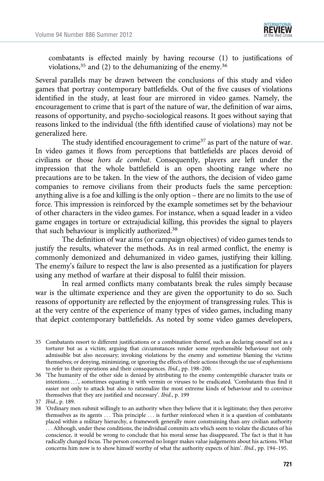

combatants is effected mainly by having recourse (1) to justifications of violations,<sup>35</sup> and (2) to the dehumanizing of the enemy.<sup>36</sup>

Several parallels may be drawn between the conclusions of this study and video games that portray contemporary battlefields. Out of the five causes of violations identified in the study, at least four are mirrored in video games. Namely, the encouragement to crime that is part of the nature of war, the definition of war aims, reasons of opportunity, and psycho-sociological reasons. It goes without saying that reasons linked to the individual (the fifth identified cause of violations) may not be generalized here.

The study identified encouragement to crime<sup>37</sup> as part of the nature of war. In video games it flows from perceptions that battlefields are places devoid of civilians or those hors de combat. Consequently, players are left under the impression that the whole battlefield is an open shooting range where no precautions are to be taken. In the view of the authors, the decision of video game companies to remove civilians from their products fuels the same perception: anything alive is a foe and killing is the only option – there are no limits to the use of force. This impression is reinforced by the example sometimes set by the behaviour of other characters in the video games. For instance, when a squad leader in a video game engages in torture or extrajudicial killing, this provides the signal to players that such behaviour is implicitly authorized.38

The definition of war aims (or campaign objectives) of video games tends to justify the results, whatever the methods. As in real armed conflict, the enemy is commonly demonized and dehumanized in video games, justifying their killing. The enemy's failure to respect the law is also presented as a justification for players using any method of warfare at their disposal to fulfil their mission.

In real armed conflicts many combatants break the rules simply because war is the ultimate experience and they are given the opportunity to do so. Such reasons of opportunity are reflected by the enjoyment of transgressing rules. This is at the very centre of the experience of many types of video games, including many that depict contemporary battlefields. As noted by some video games developers,

<sup>35</sup> Combatants resort to different justifications or a combination thereof, such as declaring oneself not as a torturer but as a victim; arguing that circumstances render some reprehensible behaviour not only admissible but also necessary; invoking violations by the enemy and sometime blaming the victims themselves; or denying, minimizing, or ignoring the effects of their actions through the use of euphemisms to refer to their operations and their consequences. Ibid., pp. 198–200.

<sup>36</sup> 'The humanity of the other side is denied by attributing to the enemy contemptible character traits or intentions ...', sometimes equating it with vermin or viruses to be eradicated. 'Combatants thus find it easier not only to attack but also to rationalize the most extreme kinds of behaviour and to convince themselves that they are justified and necessary'. Ibid., p. 199

<sup>37</sup> Ibid., p. 189.

<sup>38</sup> 'Ordinary men submit willingly to an authority when they believe that it is legitimate; they then perceive themselves as its agents ... This principle ... is further reinforced when it is a question of combatants placed within a military hierarchy, a framework generally more constraining than any civilian authority ... Although, under these conditions, the individual commits acts which seem to violate the dictates of his conscience, it would be wrong to conclude that his moral sense has disappeared. The fact is that it has radically changed focus. The person concerned no longer makes value judgements about his actions. What concerns him now is to show himself worthy of what the authority expects of him'. Ibid., pp. 194–195.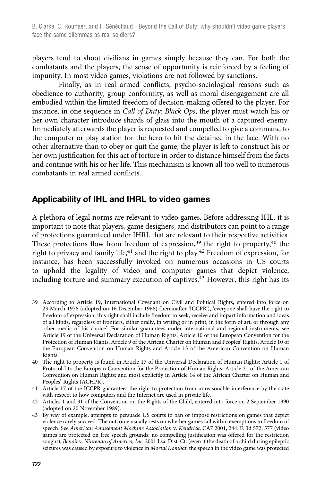players tend to shoot civilians in games simply because they can. For both the combatants and the players, the sense of opportunity is reinforced by a feeling of impunity. In most video games, violations are not followed by sanctions.

Finally, as in real armed conflicts, psycho-sociological reasons such as obedience to authority, group conformity, as well as moral disengagement are all embodied within the limited freedom of decision-making offered to the player. For instance, in one sequence in Call of Duty: Black Ops, the player must watch his or her own character introduce shards of glass into the mouth of a captured enemy. Immediately afterwards the player is requested and compelled to give a command to the computer or play station for the hero to hit the detainee in the face. With no other alternative than to obey or quit the game, the player is left to construct his or her own justification for this act of torture in order to distance himself from the facts and continue with his or her life. This mechanism is known all too well to numerous combatants in real armed conflicts.

## Applicability of IHL and IHRL to video games

A plethora of legal norms are relevant to video games. Before addressing IHL, it is important to note that players, game designers, and distributors can point to a range of protections guaranteed under IHRL that are relevant to their respective activities. These protections flow from freedom of expression,<sup>39</sup> the right to property,<sup>40</sup> the right to privacy and family life,<sup>41</sup> and the right to play.<sup>42</sup> Freedom of expression, for instance, has been successfully invoked on numerous occasions in US courts to uphold the legality of video and computer games that depict violence, including torture and summary execution of captives.<sup>43</sup> However, this right has its

- 39 According to Article 19, International Covenant on Civil and Political Rights, entered into force on 23 March 1976 (adopted on 16 December 1966) (hereinafter 'ICCPR'), 'everyone shall have the right to freedom of expression; this right shall include freedom to seek, receive and impart information and ideas of all kinds, regardless of frontiers, either orally, in writing or in print, in the form of art, or through any other media of his choice'. For similar guarantees under international and regional instruments, see Article 19 of the Universal Declaration of Human Rights, Article 10 of the European Convention for the Protection of Human Rights, Article 9 of the African Charter on Human and Peoples' Rights, Article 10 of the European Convention on Human Rights and Article 13 of the American Convention on Human Rights.
- 40 The right to property is found in Article 17 of the Universal Declaration of Human Rights; Article 1 of Protocol I to the European Convention for the Protection of Human Rights; Article 21 of the American Convention on Human Rights; and most explicitly in Article 14 of the African Charter on Human and Peoples' Rights (ACHPR).
- 41 Article 17 of the ICCPR guarantees the right to protection from unreasonable interference by the state with respect to how computers and the Internet are used in private life.
- 42 Articles 1 and 31 of the Convention on the Rights of the Child, entered into force on 2 September 1990 (adopted on 20 November 1989).
- 43 By way of example, attempts to persuade US courts to ban or impose restrictions on games that depict violence rarely succeed. The outcome usually rests on whether games fall within exemptions to freedom of speech. See American Amusement Machine Association v. Kendrick, CA7 2001, 244. F. 3d 572, 577 (video games are protected on free speech grounds: no compelling justification was offered for the restriction sought); Benoit v. Nintendo of America, Inc. 2001 Lsa. Dist. Ct. (even if the death of a child during epileptic seizures was caused by exposure to violence in Mortal Kombat, the speech in the video game was protected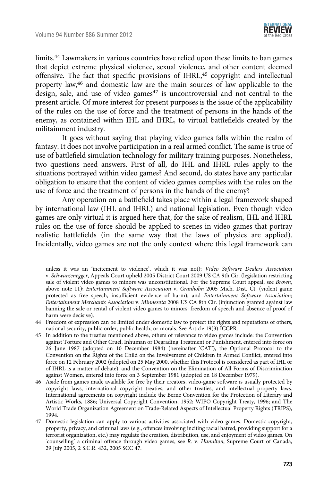limits.44 Lawmakers in various countries have relied upon these limits to ban games that depict extreme physical violence, sexual violence, and other content deemed offensive. The fact that specific provisions of IHRL,<sup>45</sup> copyright and intellectual property law,46 and domestic law are the main sources of law applicable to the design, sale, and use of video games $47$  is uncontroversial and not central to the present article. Of more interest for present purposes is the issue of the applicability of the rules on the use of force and the treatment of persons in the hands of the enemy, as contained within IHL and IHRL, to virtual battlefields created by the militainment industry.

It goes without saying that playing video games falls within the realm of fantasy. It does not involve participation in a real armed conflict. The same is true of use of battlefield simulation technology for military training purposes. Nonetheless, two questions need answers. First of all, do IHL and IHRL rules apply to the situations portrayed within video games? And second, do states have any particular obligation to ensure that the content of video games complies with the rules on the use of force and the treatment of persons in the hands of the enemy?

Any operation on a battlefield takes place within a legal framework shaped by international law (IHL and IHRL) and national legislation. Even though video games are only virtual it is argued here that, for the sake of realism, IHL and IHRL rules on the use of force should be applied to scenes in video games that portray realistic battlefields (in the same way that the laws of physics are applied). Incidentally, video games are not the only context where this legal framework can

unless it was an 'incitement to violence', which it was not); Video Software Dealers Association v. Schwarzenegger, Appeals Court upheld 2005 District Court 2009 US CA 9th Cir. (legislation restricting sale of violent video games to minors was unconstitutional. For the Supreme Court appeal, see Brown, above note 11); Entertainment Software Association v. Granholm 2005 Mich. Dist. Ct. (violent game protected as free speech, insufficient evidence of harm); and Entertainment Software Association; Entertainment Merchants Association v. Minnesota 2008 US CA 8th Cir. (injunction granted against law banning the sale or rental of violent video games to minors: freedom of speech and absence of proof of harm were decisive).

- 44 Freedom of expression can be limited under domestic law to protect the rights and reputations of others, national security, public order, public health, or morals. See Article 19(3) ICCPR.
- 45 In addition to the treaties mentioned above, others of relevance to video games include: the Convention against Torture and Other Cruel, Inhuman or Degrading Treatment or Punishment, entered into force on 26 June 1987 (adopted on 10 December 1984) (hereinafter 'CAT'), the Optional Protocol to the Convention on the Rights of the Child on the Involvement of Children in Armed Conflict, entered into force on 12 February 2002 (adopted on 25 May 2000, whether this Protocol is considered as part of IHL or of IHRL is a matter of debate), and the Convention on the Elimination of All Forms of Discrimination against Women, entered into force on 3 September 1981 (adopted on 18 December 1979).
- 46 Aside from games made available for free by their creators, video-game software is usually protected by copyright laws, international copyright treaties, and other treaties, and intellectual property laws. International agreements on copyright include the Berne Convention for the Protection of Literary and Artistic Works, 1886; Universal Copyright Convention, 1952; WIPO Copyright Treaty, 1996; and The World Trade Organization Agreement on Trade-Related Aspects of Intellectual Property Rights (TRIPS), 1994.
- 47 Domestic legislation can apply to various activities associated with video games. Domestic copyright, property, privacy, and criminal laws (e.g., offences involving inciting racial hatred, providing support for a terrorist organization, etc.) may regulate the creation, distribution, use, and enjoyment of video games. On 'counselling' a criminal offence through video games, see R. v. Hamilton, Supreme Court of Canada, 29 July 2005, 2 S.C.R. 432, 2005 SCC 47.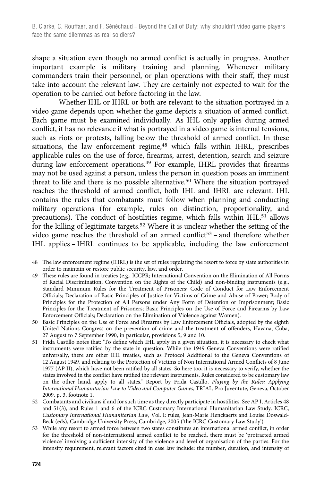shape a situation even though no armed conflict is actually in progress. Another important example is military training and planning. Whenever military commanders train their personnel, or plan operations with their staff, they must take into account the relevant law. They are certainly not expected to wait for the operation to be carried out before factoring in the law.

Whether IHL or IHRL or both are relevant to the situation portrayed in a video game depends upon whether the game depicts a situation of armed conflict. Each game must be examined individually. As IHL only applies during armed conflict, it has no relevance if what is portrayed in a video game is internal tensions, such as riots or protests, falling below the threshold of armed conflict. In these situations, the law enforcement regime,<sup>48</sup> which falls within IHRL, prescribes applicable rules on the use of force, firearms, arrest, detention, search and seizure during law enforcement operations.<sup>49</sup> For example, IHRL provides that firearms may not be used against a person, unless the person in question poses an imminent threat to life and there is no possible alternative.50 Where the situation portrayed reaches the threshold of armed conflict, both IHL and IHRL are relevant. IHL contains the rules that combatants must follow when planning and conducting military operations (for example, rules on distinction, proportionality, and precautions). The conduct of hostilities regime, which falls within IHL,<sup>51</sup> allows for the killing of legitimate targets.52 Where it is unclear whether the setting of the video game reaches the threshold of an armed conflict<sup>53</sup> – and therefore whether IHL applies – IHRL continues to be applicable, including the law enforcement

- 48 The law enforcement regime (IHRL) is the set of rules regulating the resort to force by state authorities in order to maintain or restore public security, law, and order.
- 49 These rules are found in treaties (e.g., ICCPR; International Convention on the Elimination of All Forms of Racial Discrimination; Convention on the Rights of the Child) and non-binding instruments (e.g., Standard Minimum Rules for the Treatment of Prisoners; Code of Conduct for Law Enforcement Officials; Declaration of Basic Principles of Justice for Victims of Crime and Abuse of Power; Body of Principles for the Protection of All Persons under Any Form of Detention or Imprisonment; Basic Principles for the Treatment of Prisoners; Basic Principles on the Use of Force and Firearms by Law Enforcement Officials; Declaration on the Elimination of Violence against Women).
- 50 Basic Principles on the Use of Force and Firearms by Law Enforcement Officials, adopted by the eighth United Nations Congress on the prevention of crime and the treatment of offenders, Havana, Cuba, 27 August to 7 September 1990, in particular, provisions 5, 9 and 10.
- 51 Frida Castillo notes that: 'To define which IHL apply in a given situation, it is necessary to check what instruments were ratified by the state in question. While the 1949 Geneva Conventions were ratified universally, there are other IHL treaties, such as Protocol Additional to the Geneva Conventions of 12 August 1949, and relating to the Protection of Victims of Non International Armed Conflicts of 8 June 1977 (AP II), which have not been ratified by all states. So here too, it is necessary to verify, whether the states involved in the conflict have ratified the relevant instruments. Rules considered to be customary law on the other hand, apply to all states.' Report by Frida Castillo, Playing by the Rules: Applying International Humanitarian Law to Video and Computer Games, TRIAL, Pro Juventute, Geneva, October 2009, p. 3, footnote 1.
- 52 Combatants and civilians if and for such time as they directly participate in hostilities. See AP I, Articles 48 and 51(3), and Rules 1 and 6 of the ICRC Customary International Humanitarian Law Study. ICRC, Customary International Humanitarian Law, Vol. I: rules, Jean-Marie Henckaerts and Louise Doswald-Beck (eds), Cambridge University Press, Cambridge, 2005 ('the ICRC Customary Law Study').
- 53 While any resort to armed force between two states constitutes an international armed conflict, in order for the threshold of non-international armed conflict to be reached, there must be 'protracted armed violence' involving a sufficient intensity of the violence and level of organisation of the parties. For the intensity requirement, relevant factors cited in case law include: the number, duration, and intensity of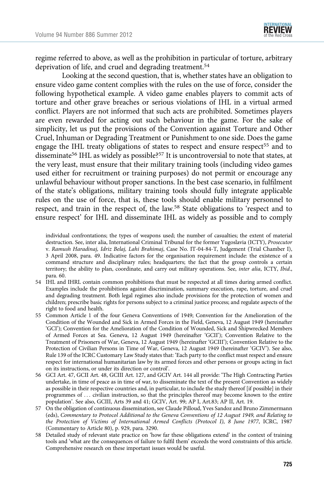regime referred to above, as well as the prohibition in particular of torture, arbitrary deprivation of life, and cruel and degrading treatment.<sup>54</sup>

Looking at the second question, that is, whether states have an obligation to ensure video game content complies with the rules on the use of force, consider the following hypothetical example. A video game enables players to commit acts of torture and other grave breaches or serious violations of IHL in a virtual armed conflict. Players are not informed that such acts are prohibited. Sometimes players are even rewarded for acting out such behaviour in the game. For the sake of simplicity, let us put the provisions of the Convention against Torture and Other Cruel, Inhuman or Degrading Treatment or Punishment to one side. Does the game engage the IHL treaty obligations of states to respect and ensure respect<sup>55</sup> and to disseminate<sup>56</sup> IHL as widely as possible?<sup>57</sup> It is uncontroversial to note that states, at the very least, must ensure that their military training tools (including video games used either for recruitment or training purposes) do not permit or encourage any unlawful behaviour without proper sanctions. In the best case scenario, in fulfilment of the state's obligations, military training tools should fully integrate applicable rules on the use of force, that is, these tools should enable military personnel to respect, and train in the respect of, the law.<sup>58</sup> State obligations to 'respect and to ensure respect' for IHL and disseminate IHL as widely as possible and to comply

individual confrontations; the types of weapons used; the number of casualties; the extent of material destruction. See, inter alia, International Criminal Tribunal for the former Yugoslavia (ICTY), Prosecutor v. Ramush Haradinaj, Idriz Belaj, Lahi Brahimaj, Case No. IT-04-84-T, Judgement (Trial Chamber I), 3 April 2008, para. 49. Indicative factors for the organisation requirement include: the existence of a command structure and disciplinary rules; headquarters; the fact that the group controls a certain territory; the ability to plan, coordinate, and carry out military operations. See, inter alia, ICTY, Ibid., para. 60.

- 54 IHL and IHRL contain common prohibitions that must be respected at all times during armed conflict. Examples include the prohibitions against discrimination, summary execution, rape, torture, and cruel and degrading treatment. Both legal regimes also include provisions for the protection of women and children; prescribe basic rights for persons subject to a criminal justice process; and regulate aspects of the right to food and health.
- 55 Common Article 1 of the four Geneva Conventions of 1949; Convention for the Amelioration of the Condition of the Wounded and Sick in Armed Forces in the Field, Geneva, 12 August 1949 (hereinafter 'GCI'); Convention for the Amelioration of the Condition of Wounded, Sick and Shipwrecked Members of Armed Forces at Sea. Geneva, 12 August 1949 (hereinafter 'GCII'); Convention Relative to the Treatment of Prisoners of War, Geneva, 12 August 1949 (hereinafter 'GCIII'); Convention Relative to the Protection of Civilian Persons in Time of War, Geneva, 12 August 1949 (hereinafter 'GCIV'). See also, Rule 139 of the ICRC Customary Law Study states that: 'Each party to the conflict must respect and ensure respect for international humanitarian law by its armed forces and other persons or groups acting in fact on its instructions, or under its direction or control'.
- 56 GCI Art. 47, GCII Art. 48, GCIII Art. 127, and GCIV Art. 144 all provide: 'The High Contracting Parties undertake, in time of peace as in time of war, to disseminate the text of the present Convention as widely as possible in their respective countries and, in particular, to include the study thereof [if possible] in their programmes of ... civilian instruction, so that the principles thereof may become known to the entire population'. See also, GCIII, Arts 39 and 41; GCIV, Art. 99; AP I, Art.83; AP II, Art. 19.
- 57 On the obligation of continuous dissemination, see Claude Pilloud, Yves Sandoz and Bruno Zimmermann (eds), Commentary to Protocol Additional to the Geneva Conventions of 12 August 1949, and Relating to the Protection of Victims of International Armed Conflicts (Protocol I), 8 June 1977, ICRC, 1987 (Commentary to Article 80), p. 929, para. 3290.
- 58 Detailed study of relevant state practice on 'how far these obligations extend' in the context of training tools and 'what are the consequences of failure to fulfil them' exceeds the word constraints of this article. Comprehensive research on these important issues would be useful.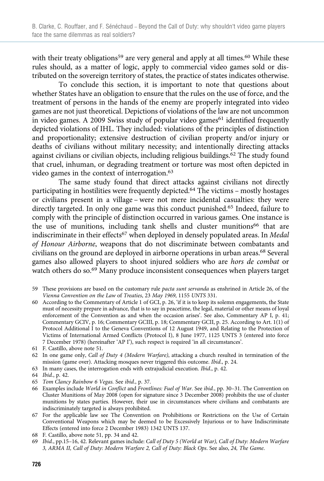with their treaty obligations<sup>59</sup> are very general and apply at all times.<sup>60</sup> While these rules should, as a matter of logic, apply to commercial video games sold or distributed on the sovereign territory of states, the practice of states indicates otherwise.

To conclude this section, it is important to note that questions about whether States have an obligation to ensure that the rules on the use of force, and the treatment of persons in the hands of the enemy are properly integrated into video games are not just theoretical. Depictions of violations of the law are not uncommon in video games. A 2009 Swiss study of popular video games<sup>61</sup> identified frequently depicted violations of IHL. They included: violations of the principles of distinction and proportionality; extensive destruction of civilian property and/or injury or deaths of civilians without military necessity; and intentionally directing attacks against civilians or civilian objects, including religious buildings.<sup>62</sup> The study found that cruel, inhuman, or degrading treatment or torture was most often depicted in video games in the context of interrogation.<sup>63</sup>

The same study found that direct attacks against civilians not directly participating in hostilities were frequently depicted.<sup>64</sup> The victims – mostly hostages or civilians present in a village – were not mere incidental casualties: they were directly targeted. In only one game was this conduct punished.65 Indeed, failure to comply with the principle of distinction occurred in various games. One instance is the use of munitions, including tank shells and cluster munitions<sup>66</sup> that are indiscriminate in their effects<sup>67</sup> when deployed in densely populated areas. In Medal of Honour Airborne, weapons that do not discriminate between combatants and civilians on the ground are deployed in airborne operations in urban areas.<sup>68</sup> Several games also allowed players to shoot injured soldiers who are hors de combat or watch others do so.<sup>69</sup> Many produce inconsistent consequences when players target

- 59 These provisions are based on the customary rule pacta sunt servanda as enshrined in Article 26, of the Vienna Convention on the Law of Treaties, 23 May 1969, 1155 UNTS 331.
- 60 According to the Commentary of Article 1 of GCI, p. 26, 'if it is to keep its solemn engagements, the State must of necessity prepare in advance, that is to say in peacetime, the legal, material or other means of loyal enforcement of the Convention as and when the occasion arises'. See also, Commentary AP I, p. 41; Commentary GCIV, p. 16; Commentary GCIII, p. 18; Commentary GCII, p. 25. According to Art. 1(1) of Protocol Additional I to the Geneva Conventions of 12 August 1949, and Relating to the Protection of Victims of International Armed Conflicts (Protocol I), 8 June 1977, 1125 UNTS 3 (entered into force 7 December 1978) (hereinafter 'AP I'), such respect is required 'in all circumstances'.
- 61 F. Castillo, above note 51.
- 62 In one game only, Call of Duty 4 (Modern Warfare), attacking a church resulted in termination of the mission (game over). Attacking mosques never triggered this outcome. Ibid., p. 24.
- 63 In many cases, the interrogation ends with extrajudicial execution. Ibid., p. 42.
- 64 Ibid., p. 42.
- 65 Tom Clancy Rainbow 6 Vegas. See ibid., p. 37.
- 66 Examples include World in Conflict and Frontlines: Fuel of War. See ibid., pp. 30–31. The Convention on Cluster Munitions of May 2008 (open for signature since 3 December 2008) prohibits the use of cluster munitions by states parties. However, their use in circumstances where civilians and combatants are indiscriminately targeted is always prohibited.
- 67 For the applicable law see The Convention on Prohibitions or Restrictions on the Use of Certain Conventional Weapons which may be deemed to be Excessively Injurious or to have Indiscriminate Effects (entered into force 2 December 1983) 1342 UNTS 137.
- 68 F. Castillo, above note 51, pp. 34 and 42.
- 69 Ibid., pp.15–16, 42. Relevant games include: Call of Duty 5 (World at War), Call of Duty: Modern Warfare 3, ARMA II, Call of Duty: Modern Warfare 2, Call of Duty: Black Ops. See also, 24, The Game.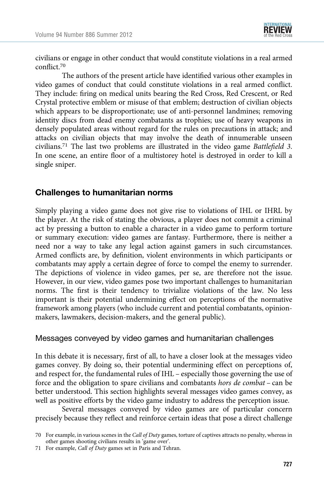civilians or engage in other conduct that would constitute violations in a real armed conflict.70

The authors of the present article have identified various other examples in video games of conduct that could constitute violations in a real armed conflict. They include: firing on medical units bearing the Red Cross, Red Crescent, or Red Crystal protective emblem or misuse of that emblem; destruction of civilian objects which appears to be disproportionate; use of anti-personnel landmines; removing identity discs from dead enemy combatants as trophies; use of heavy weapons in densely populated areas without regard for the rules on precautions in attack; and attacks on civilian objects that may involve the death of innumerable unseen civilians.71 The last two problems are illustrated in the video game Battlefield 3. In one scene, an entire floor of a multistorey hotel is destroyed in order to kill a single sniper.

## Challenges to humanitarian norms

Simply playing a video game does not give rise to violations of IHL or IHRL by the player. At the risk of stating the obvious, a player does not commit a criminal act by pressing a button to enable a character in a video game to perform torture or summary execution: video games are fantasy. Furthermore, there is neither a need nor a way to take any legal action against gamers in such circumstances. Armed conflicts are, by definition, violent environments in which participants or combatants may apply a certain degree of force to compel the enemy to surrender. The depictions of violence in video games, per se, are therefore not the issue. However, in our view, video games pose two important challenges to humanitarian norms. The first is their tendency to trivialize violations of the law. No less important is their potential undermining effect on perceptions of the normative framework among players (who include current and potential combatants, opinionmakers, lawmakers, decision-makers, and the general public).

#### Messages conveyed by video games and humanitarian challenges

In this debate it is necessary, first of all, to have a closer look at the messages video games convey. By doing so, their potential undermining effect on perceptions of, and respect for, the fundamental rules of IHL – especially those governing the use of force and the obligation to spare civilians and combatants *hors de combat* – can be better understood. This section highlights several messages video games convey, as well as positive efforts by the video game industry to address the perception issue.

Several messages conveyed by video games are of particular concern precisely because they reflect and reinforce certain ideas that pose a direct challenge

<sup>70</sup> For example, in various scenes in the Call of Duty games, torture of captives attracts no penalty, whereas in other games shooting civilians results in 'game over'.

<sup>71</sup> For example, Call of Duty games set in Paris and Tehran.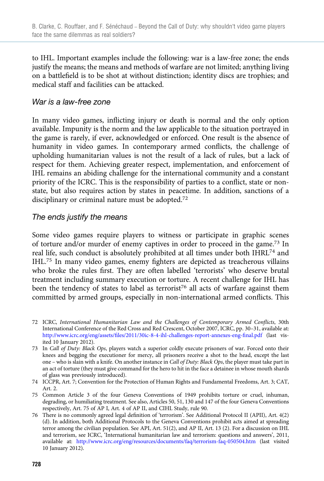to IHL. Important examples include the following: war is a law-free zone; the ends justify the means; the means and methods of warfare are not limited; anything living on a battlefield is to be shot at without distinction; identity discs are trophies; and medical staff and facilities can be attacked.

### War is a law-free zone

In many video games, inflicting injury or death is normal and the only option available. Impunity is the norm and the law applicable to the situation portrayed in the game is rarely, if ever, acknowledged or enforced. One result is the absence of humanity in video games. In contemporary armed conflicts, the challenge of upholding humanitarian values is not the result of a lack of rules, but a lack of respect for them. Achieving greater respect, implementation, and enforcement of IHL remains an abiding challenge for the international community and a constant priority of the ICRC. This is the responsibility of parties to a conflict, state or nonstate, but also requires action by states in peacetime. In addition, sanctions of a disciplinary or criminal nature must be adopted.72

### The ends justify the means

Some video games require players to witness or participate in graphic scenes of torture and/or murder of enemy captives in order to proceed in the game.73 In real life, such conduct is absolutely prohibited at all times under both IHRL74 and IHL.75 In many video games, enemy fighters are depicted as treacherous villains who broke the rules first. They are often labelled 'terrorists' who deserve brutal treatment including summary execution or torture. A recent challenge for IHL has been the tendency of states to label as terrorist<sup>76</sup> all acts of warfare against them committed by armed groups, especially in non-international armed conflicts. This

<sup>72</sup> ICRC, International Humanitarian Law and the Challenges of Contemporary Armed Conflicts, 30th International Conference of the Red Cross and Red Crescent, October 2007, ICRC, pp. 30–31, available at: [http:/](http://www.icrc.org/eng/assets/files/2011/30ic-8-4-ihl-challenges-report-annexes-eng-final.pdf)/www.icrc.org/eng/assets/fi[les/2011/30ic-8-4-ihl-challenges-report-annexes-eng-](http://www.icrc.org/eng/assets/files/2011/30ic-8-4-ihl-challenges-report-annexes-eng-final.pdf)final.pdf (last visited 10 January 2012).

<sup>73</sup> In Call of Duty: Black Ops, players watch a superior coldly execute prisoners of war. Forced onto their knees and begging the executioner for mercy, all prisoners receive a shot to the head, except the last one – who is slain with a knife. On another instance in Call of Duty: Black Ops, the player must take part in an act of torture (they must give command for the hero to hit in the face a detainee in whose mouth shards of glass was previously introduced).

<sup>74</sup> ICCPR, Art. 7; Convention for the Protection of Human Rights and Fundamental Freedoms, Art. 3; CAT, Art. 2.

<sup>75</sup> Common Article 3 of the four Geneva Conventions of 1949 prohibits torture or cruel, inhuman, degrading, or humiliating treatment. See also, Articles 50, 51, 130 and 147 of the four Geneva Conventions respectively, Art. 75 of AP I, Art. 4 of AP II, and CIHL Study, rule 90.

<sup>76</sup> There is no commonly agreed legal definition of 'terrorism'. See Additional Protocol II (APII), Art. 4(2) (d). In addition, both Additional Protocols to the Geneva Conventions prohibit acts aimed at spreading terror among the civilian population. See API, Art. 51(2), and AP II, Art. 13 (2). For a discussion on IHL and terrorism, see ICRC, 'International humanitarian law and terrorism: questions and answers', 2011, available at: <http://www.icrc.org/eng/resources/documents/faq/terrorism-faq-050504.htm> (last visited 10 January 2012).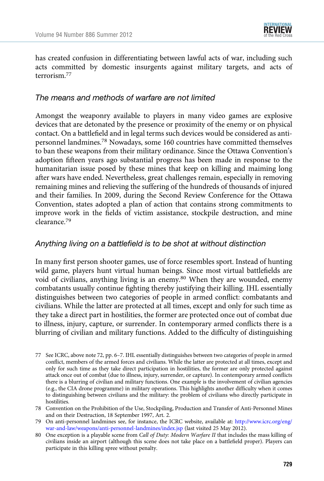

has created confusion in differentiating between lawful acts of war, including such acts committed by domestic insurgents against military targets, and acts of terrorism.77

## The means and methods of warfare are not limited

Amongst the weaponry available to players in many video games are explosive devices that are detonated by the presence or proximity of the enemy or on physical contact. On a battlefield and in legal terms such devices would be considered as antipersonnel landmines.<sup>78</sup> Nowadays, some 160 countries have committed themselves to ban these weapons from their military ordinance. Since the Ottawa Convention's adoption fifteen years ago substantial progress has been made in response to the humanitarian issue posed by these mines that keep on killing and maiming long after wars have ended. Nevertheless, great challenges remain, especially in removing remaining mines and relieving the suffering of the hundreds of thousands of injured and their families. In 2009, during the Second Review Conference for the Ottawa Convention, states adopted a plan of action that contains strong commitments to improve work in the fields of victim assistance, stockpile destruction, and mine clearance.79

## Anything living on a battlefield is to be shot at without distinction

In many first person shooter games, use of force resembles sport. Instead of hunting wild game, players hunt virtual human beings. Since most virtual battlefields are void of civilians, anything living is an enemy.<sup>80</sup> When they are wounded, enemy combatants usually continue fighting thereby justifying their killing. IHL essentially distinguishes between two categories of people in armed conflict: combatants and civilians. While the latter are protected at all times, except and only for such time as they take a direct part in hostilities, the former are protected once out of combat due to illness, injury, capture, or surrender. In contemporary armed conflicts there is a blurring of civilian and military functions. Added to the difficulty of distinguishing

- 77 See ICRC, above note 72, pp. 6–7. IHL essentially distinguishes between two categories of people in armed conflict, members of the armed forces and civilians. While the latter are protected at all times, except and only for such time as they take direct participation in hostilities, the former are only protected against attack once out of combat (due to illness, injury, surrender, or capture). In contemporary armed conflicts there is a blurring of civilian and military functions. One example is the involvement of civilian agencies (e.g., the CIA drone programme) in military operations. This highlights another difficulty when it comes to distinguishing between civilians and the military: the problem of civilians who directly participate in hostilities.
- 78 Convention on the Prohibition of the Use, Stockpiling, Production and Transfer of Anti-Personnel Mines and on their Destruction, 18 September 1997, Art. 2.
- 79 On anti-personnel landmines see, for instance, the ICRC website, available at: [http://www.icrc.org/eng/](http://www.icrc.org/eng/war-and-law/weapons/anti-personnel-landmines/index.jsp) [war-and-law/weapons/anti-personnel-landmines/index.jsp](http://www.icrc.org/eng/war-and-law/weapons/anti-personnel-landmines/index.jsp) (last visited 25 May 2012).
- 80 One exception is a playable scene from Call of Duty: Modern Warfare II that includes the mass killing of civilians inside an airport (although this scene does not take place on a battlefield proper). Players can participate in this killing spree without penalty.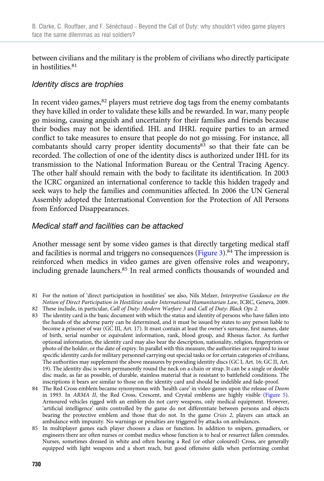between civilians and the military is the problem of civilians who directly participate in hostilities.<sup>81</sup>

## Identity discs are trophies

In recent video games, $82$  players must retrieve dog tags from the enemy combatants they have killed in order to validate these kills and be rewarded. In war, many people go missing, causing anguish and uncertainty for their families and friends because their bodies may not be identified. IHL and IHRL require parties to an armed conflict to take measures to ensure that people do not go missing. For instance, all combatants should carry proper identity documents<sup>83</sup> so that their fate can be recorded. The collection of one of the identity discs is authorized under IHL for its transmission to the National Information Bureau or the Central Tracing Agency. The other half should remain with the body to facilitate its identification. In 2003 the ICRC organized an international conference to tackle this hidden tragedy and seek ways to help the families and communities affected. In 2006 the UN General Assembly adopted the International Convention for the Protection of All Persons from Enforced Disappearances.

## Medical staff and facilities can be attacked

Another message sent by some video games is that directly targeting medical staff and facilities is normal and triggers no consequences ([Figure 3\)](#page-20-0).<sup>84</sup> The impression is reinforced when medics in video games are given offensive roles and weaponry, including grenade launchers.85 In real armed conflicts thousands of wounded and

- 81 For the notion of 'direct participation in hostilities' see also, Nils Melzer, Interpretive Guidance on the Notion of Direct Participation in Hostilities under International Humanitarian Law, ICRC, Geneva, 2009.
- 82 These include, in particular, Call of Duty: Modern Warfare 3 and Call of Duty: Black Ops 2.
- 83 The identity card is the basic document with which the status and identity of persons who have fallen into the hands of the adverse party can be determined, and it must be issued by states to any person liable to become a prisoner of war (GC III, Art. 17). It must contain at least the owner's surname, first names, date of birth, serial number or equivalent information, rank, blood group, and Rhesus factor. As further optional information, the identity card may also bear the description, nationality, religion, fingerprints or photo of the holder, or the date of expiry. In parallel with this measure, the authorities are required to issue specific identity cards for military personnel carrying out special tasks or for certain categories of civilians, The authorities may supplement the above measures by providing identity discs (GC I, Art. 16; GC II, Art. 19). The identity disc is worn permanently round the neck on a chain or strap. It can be a single or double disc made, as far as possible, of durable, stainless material that is resistant to battlefield conditions. The inscriptions it bears are similar to those on the identity card and should be indelible and fade-proof.
- 84 The Red Cross emblem became synonymous with 'health care' in video games upon the release of Doom in 1993. In ARMA II, the Red Cross, Crescent, and Crystal emblems are highly visible (Figure 5). Armoured vehicles rigged with an emblem do not carry weapons, only medical equipment. However, 'artificial intelligence' units controlled by the game do not differentiate between persons and objects bearing the protective emblem and those that do not. In the game Crisis 2, players can attack an ambulance with impunity. No warnings or penalties are triggered by attacks on ambulances.
- 85 In multiplayer games each player chooses a class or function. In addition to snipers, grenadiers, or engineers there are often nurses or combat medics whose function is to heal or resurrect fallen comrades. Nurses, sometimes dressed in white and often bearing a Red (or other coloured) Cross, are generally equipped with light weapons and a short reach, but good offensive skills when performing combat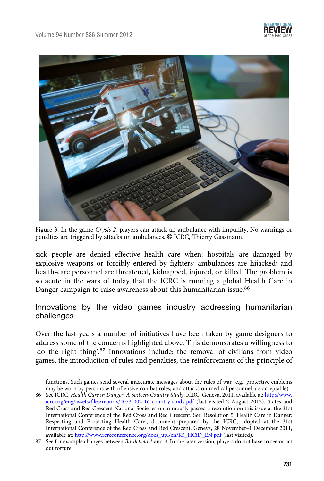

<span id="page-20-0"></span>

Figure 3. In the game Crysis 2, players can attack an ambulance with impunity. No warnings or penalties are triggered by attacks on ambulances. © ICRC, Thierry Gassmann.

sick people are denied effective health care when: hospitals are damaged by explosive weapons or forcibly entered by fighters; ambulances are hijacked; and health-care personnel are threatened, kidnapped, injured, or killed. The problem is so acute in the wars of today that the ICRC is running a global Health Care in Danger campaign to raise awareness about this humanitarian issue.<sup>86</sup>

### Innovations by the video games industry addressing humanitarian challenges

Over the last years a number of initiatives have been taken by game designers to address some of the concerns highlighted above. This demonstrates a willingness to 'do the right thing'.<sup>87</sup> Innovations include: the removal of civilians from video games, the introduction of rules and penalties, the reinforcement of the principle of

functions. Such games send several inaccurate messages about the rules of war (e.g., protective emblems may be worn by persons with offensive combat roles, and attacks on medical personnel are acceptable).

86 See ICRC, Health Care in Danger: A Sixteen-Country Study, ICRC, Geneva, 2011, available at: [http://www.](http://www.icrc.org/eng/assets/files/reports/4073-002-16-country-study.pdf) icrc.org/eng/assets/fi[les/reports/4073-002-16-country-study.pdf](http://www.icrc.org/eng/assets/files/reports/4073-002-16-country-study.pdf) (last visited 2 August 2012). States and Red Cross and Red Crescent National Societies unanimously passed a resolution on this issue at the 31st International Conference of the Red Cross and Red Crescent. See 'Resolution 5, Health Care in Danger: Respecting and Protecting Health Care', document prepared by the ICRC, adopted at the 31st International Conference of the Red Cross and Red Crescent, Geneva, 28 November–1 December 2011, available at: [http://www.rcrcconference.org/docs\\_upl/en/R5\\_HCiD\\_EN.pdf](http://www.rcrcconference.org/docs_upl/en/R5_HCiD_EN.pdf) (last visited).

<sup>87</sup> See for example changes between Battlefield 1 and 3. In the later version, players do not have to see or act out torture.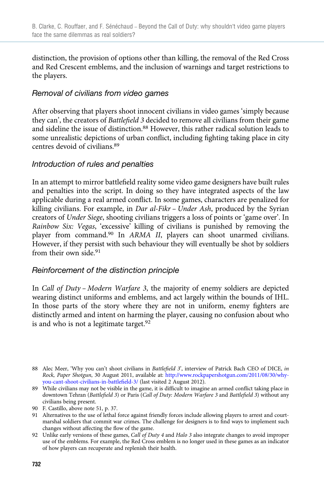distinction, the provision of options other than killing, the removal of the Red Cross and Red Crescent emblems, and the inclusion of warnings and target restrictions to the players.

## Removal of civilians from video games

After observing that players shoot innocent civilians in video games 'simply because they can', the creators of Battlefield 3 decided to remove all civilians from their game and sideline the issue of distinction.<sup>88</sup> However, this rather radical solution leads to some unrealistic depictions of urban conflict, including fighting taking place in city centres devoid of civilians.89

## Introduction of rules and penalties

In an attempt to mirror battlefield reality some video game designers have built rules and penalties into the script. In doing so they have integrated aspects of the law applicable during a real armed conflict. In some games, characters are penalized for killing civilians. For example, in *Dar al-Fikr - Under Ash*, produced by the Syrian creators of Under Siege, shooting civilians triggers a loss of points or 'game over'. In Rainbow Six: Vegas, 'excessive' killing of civilians is punished by removing the player from command.<sup>90</sup> In ARMA II, players can shoot unarmed civilians. However, if they persist with such behaviour they will eventually be shot by soldiers from their own side.<sup>91</sup>

## Reinforcement of the distinction principle

In Call of Duty – Modern Warfare 3, the majority of enemy soldiers are depicted wearing distinct uniforms and emblems, and act largely within the bounds of IHL. In those parts of the story where they are not in uniform, enemy fighters are distinctly armed and intent on harming the player, causing no confusion about who is and who is not a legitimate target.92

- 88 Alec Meer, 'Why you can't shoot civilians in Battlefield 3', interview of Patrick Bach CEO of DICE, in Rock, Paper Shotgun, 30 August 2011, available at: [http://www.rockpapershotgun.com/2011/08/30/why](http://www.rockpapershotgun.com/2011/08/30/why-you-cant-shoot-civilians-in-battlefield-3/)[you-cant-shoot-civilians-in-battle](http://www.rockpapershotgun.com/2011/08/30/why-you-cant-shoot-civilians-in-battlefield-3/)field-3/ (last visited 2 August 2012).
- 89 While civilians may not be visible in the game, it is difficult to imagine an armed conflict taking place in downtown Tehran (Battlefield 3) or Paris (Call of Duty: Modern Warfare 3 and Battlefield 3) without any civilians being present.
- 90 F. Castillo, above note 51, p. 37.
- 91 Alternatives to the use of lethal force against friendly forces include allowing players to arrest and courtmarshal soldiers that commit war crimes. The challenge for designers is to find ways to implement such changes without affecting the flow of the game.
- 92 Unlike early versions of these games, Call of Duty 4 and Halo 3 also integrate changes to avoid improper use of the emblems. For example, the Red Cross emblem is no longer used in these games as an indicator of how players can recuperate and replenish their health.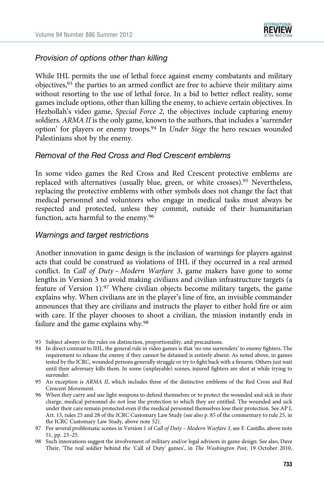

## Provision of options other than killing

While IHL permits the use of lethal force against enemy combatants and military objectives,<sup>93</sup> the parties to an armed conflict are free to achieve their military aims without resorting to the use of lethal force. In a bid to better reflect reality, some games include options, other than killing the enemy, to achieve certain objectives. In Hezbollah's video game, Special Force 2, the objectives include capturing enemy soldiers. ARMA II is the only game, known to the authors, that includes a 'surrender option' for players or enemy troops.94 In Under Siege the hero rescues wounded Palestinians shot by the enemy.

### Removal of the Red Cross and Red Crescent emblems

In some video games the Red Cross and Red Crescent protective emblems are replaced with alternatives (usually blue, green, or white crosses).95 Nevertheless, replacing the protective emblems with other symbols does not change the fact that medical personnel and volunteers who engage in medical tasks must always be respected and protected, unless they commit, outside of their humanitarian function, acts harmful to the enemy.96

### Warnings and target restrictions

Another innovation in game design is the inclusion of warnings for players against acts that could be construed as violations of IHL if they occurred in a real armed conflict. In Call of Duty – Modern Warfare 3, game makers have gone to some lengths in Version 3 to avoid making civilians and civilian infrastructure targets (a feature of Version 1).<sup>97</sup> Where civilian objects become military targets, the game explains why. When civilians are in the player's line of fire, an invisible commander announces that they are civilians and instructs the player to either hold fire or aim with care. If the player chooses to shoot a civilian, the mission instantly ends in failure and the game explains why.98

- 93 Subject always to the rules on distinction, proportionality, and precautions.
- 94 In direct contrast to IHL, the general rule in video games is that 'no one surrenders' to enemy fighters. The requirement to release the enemy if they cannot be detained is entirely absent. As noted above, in games tested by the ICRC, wounded persons generally struggle or try to fight back with a firearm. Others just wait until their adversary kills them. In some (unplayable) scenes, injured fighters are shot at while trying to surrender.
- 95 An exception is ARMA II, which includes three of the distinctive emblems of the Red Cross and Red Crescent Movement.
- 96 When they carry and use light weapons to defend themselves or to protect the wounded and sick in their charge, medical personnel do not lose the protection to which they are entitled. The wounded and sick under their care remain protected even if the medical personnel themselves lose their protection. See AP I, Art. 13, rules 25 and 28 of the ICRC Customary Law Study (see also p. 85 of the commentary to rule 25, in the ICRC Customary Law Study, above note 52).
- 97 For several problematic scenes in Version 1 of Call of Duty Modern Warfare 3, see F. Castillo, above note 51, pp. 23–25.
- 98 Such innovations suggest the involvement of military and/or legal advisors in game design. See also, Dave Their, 'The real soldier behind the 'Call of Duty' games', in The Washington Post, 19 October 2010,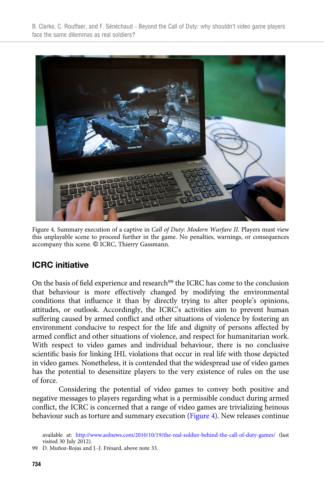

Figure 4. Summary execution of a captive in Call of Duty: Modern Warfare II. Players must view this unplayable scene to proceed further in the game. No penalties, warnings, or consequences accompany this scene. © ICRC, Thierry Gassmann.

## ICRC initiative

On the basis of field experience and research<sup>99</sup> the ICRC has come to the conclusion that behaviour is more effectively changed by modifying the environmental conditions that influence it than by directly trying to alter people's opinions, attitudes, or outlook. Accordingly, the ICRC's activities aim to prevent human suffering caused by armed conflict and other situations of violence by fostering an environment conducive to respect for the life and dignity of persons affected by armed conflict and other situations of violence, and respect for humanitarian work. With respect to video games and individual behaviour, there is no conclusive scientific basis for linking IHL violations that occur in real life with those depicted in video games. Nonetheless, it is contended that the widespread use of video games has the potential to desensitize players to the very existence of rules on the use of force.

Considering the potential of video games to convey both positive and negative messages to players regarding what is a permissible conduct during armed conflict, the ICRC is concerned that a range of video games are trivializing heinous behaviour such as torture and summary execution (Figure 4). New releases continue

available at: <http://www.aolnews.com/2010/10/19/the-real-soldier-behind-the-call-of-duty-games/> (last visited 30 July 2012).

<sup>99</sup> D. Muñoz-Rojas and J.-J. Frésard, above note 33.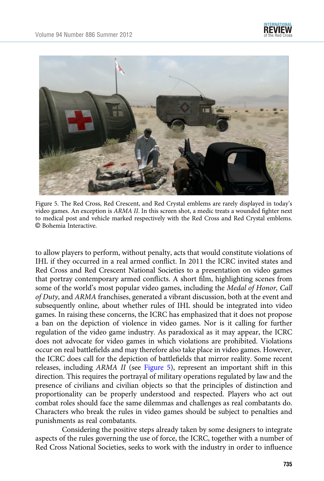



Figure 5. The Red Cross, Red Crescent, and Red Crystal emblems are rarely displayed in today's video games. An exception is ARMA II. In this screen shot, a medic treats a wounded fighter next to medical post and vehicle marked respectively with the Red Cross and Red Crystal emblems. © Bohemia Interactive.

to allow players to perform, without penalty, acts that would constitute violations of IHL if they occurred in a real armed conflict. In 2011 the ICRC invited states and Red Cross and Red Crescent National Societies to a presentation on video games that portray contemporary armed conflicts. A short film, highlighting scenes from some of the world's most popular video games, including the Medal of Honor, Call of Duty, and ARMA franchises, generated a vibrant discussion, both at the event and subsequently online, about whether rules of IHL should be integrated into video games. In raising these concerns, the ICRC has emphasized that it does not propose a ban on the depiction of violence in video games. Nor is it calling for further regulation of the video game industry. As paradoxical as it may appear, the ICRC does not advocate for video games in which violations are prohibited. Violations occur on real battlefields and may therefore also take place in video games. However, the ICRC does call for the depiction of battlefields that mirror reality. Some recent releases, including ARMA II (see Figure 5), represent an important shift in this direction. This requires the portrayal of military operations regulated by law and the presence of civilians and civilian objects so that the principles of distinction and proportionality can be properly understood and respected. Players who act out combat roles should face the same dilemmas and challenges as real combatants do. Characters who break the rules in video games should be subject to penalties and punishments as real combatants.

Considering the positive steps already taken by some designers to integrate aspects of the rules governing the use of force, the ICRC, together with a number of Red Cross National Societies, seeks to work with the industry in order to influence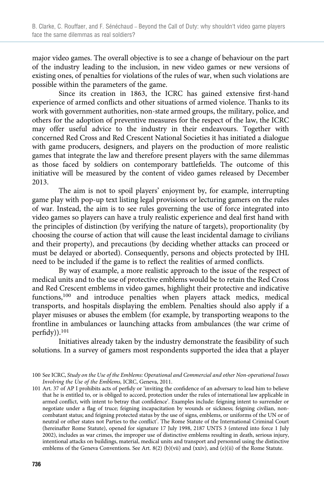major video games. The overall objective is to see a change of behaviour on the part of the industry leading to the inclusion, in new video games or new versions of existing ones, of penalties for violations of the rules of war, when such violations are possible within the parameters of the game.

Since its creation in 1863, the ICRC has gained extensive first-hand experience of armed conflicts and other situations of armed violence. Thanks to its work with government authorities, non-state armed groups, the military, police, and others for the adoption of preventive measures for the respect of the law, the ICRC may offer useful advice to the industry in their endeavours. Together with concerned Red Cross and Red Crescent National Societies it has initiated a dialogue with game producers, designers, and players on the production of more realistic games that integrate the law and therefore present players with the same dilemmas as those faced by soldiers on contemporary battlefields. The outcome of this initiative will be measured by the content of video games released by December 2013.

The aim is not to spoil players' enjoyment by, for example, interrupting game play with pop-up text listing legal provisions or lecturing gamers on the rules of war. Instead, the aim is to see rules governing the use of force integrated into video games so players can have a truly realistic experience and deal first hand with the principles of distinction (by verifying the nature of targets), proportionality (by choosing the course of action that will cause the least incidental damage to civilians and their property), and precautions (by deciding whether attacks can proceed or must be delayed or aborted). Consequently, persons and objects protected by IHL need to be included if the game is to reflect the realities of armed conflicts.

By way of example, a more realistic approach to the issue of the respect of medical units and to the use of protective emblems would be to retain the Red Cross and Red Crescent emblems in video games, highlight their protective and indicative functions,<sup>100</sup> and introduce penalties when players attack medics, medical transports, and hospitals displaying the emblem. Penalties should also apply if a player misuses or abuses the emblem (for example, by transporting weapons to the frontline in ambulances or launching attacks from ambulances (the war crime of perfidy)).<sup>101</sup>

Initiatives already taken by the industry demonstrate the feasibility of such solutions. In a survey of gamers most respondents supported the idea that a player

<sup>100</sup> See ICRC, Study on the Use of the Emblems: Operational and Commercial and other Non-operational Issues Involving the Use of the Emblems, ICRC, Geneva, 2011.

<sup>101</sup> Art. 37 of AP I prohibits acts of perfidy or 'inviting the confidence of an adversary to lead him to believe that he is entitled to, or is obliged to accord, protection under the rules of international law applicable in armed conflict, with intent to betray that confidence'. Examples include: feigning intent to surrender or negotiate under a flag of truce; feigning incapacitation by wounds or sickness; feigning civilian, noncombatant status; and feigning protected status by the use of signs, emblems, or uniforms of the UN or of neutral or other states not Parties to the conflict'. The Rome Statute of the International Criminal Court (hereinafter Rome Statute), opened for signature 17 July 1998, 2187 UNTS 3 (entered into force 1 July 2002), includes as war crimes, the improper use of distinctive emblems resulting in death, serious injury, intentional attacks on buildings, material, medical units and transport and personnel using the distinctive emblems of the Geneva Conventions. See Art. 8(2) (b)(vii) and (xxiv), and (e)(ii) of the Rome Statute.